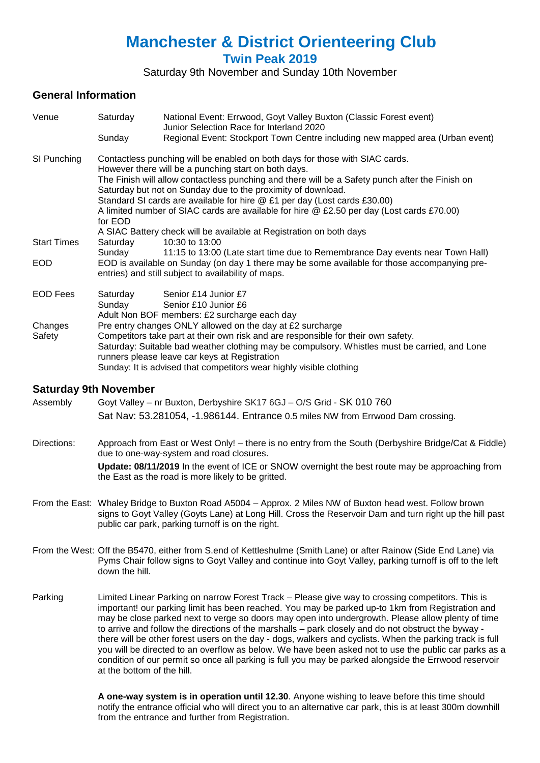# **Manchester & District Orienteering Club**

**Twin Peak 2019**

Saturday 9th November and Sunday 10th November

# **General Information**

| Venue              | Saturday                                                                                                                                                                                                                                                                                                                                                                             | National Event: Errwood, Goyt Valley Buxton (Classic Forest event)<br>Junior Selection Race for Interland 2020 |  |  |  |
|--------------------|--------------------------------------------------------------------------------------------------------------------------------------------------------------------------------------------------------------------------------------------------------------------------------------------------------------------------------------------------------------------------------------|----------------------------------------------------------------------------------------------------------------|--|--|--|
|                    | Sunday                                                                                                                                                                                                                                                                                                                                                                               | Regional Event: Stockport Town Centre including new mapped area (Urban event)                                  |  |  |  |
| SI Punching        | Contactless punching will be enabled on both days for those with SIAC cards.<br>However there will be a punching start on both days.<br>The Finish will allow contactless punching and there will be a Safety punch after the Finish on<br>Saturday but not on Sunday due to the proximity of download.<br>Standard SI cards are available for hire @ £1 per day (Lost cards £30.00) |                                                                                                                |  |  |  |
|                    | A limited number of SIAC cards are available for hire @ £2.50 per day (Lost cards £70.00)<br>for EOD<br>A SIAC Battery check will be available at Registration on both days                                                                                                                                                                                                          |                                                                                                                |  |  |  |
| <b>Start Times</b> | Saturday                                                                                                                                                                                                                                                                                                                                                                             | 10:30 to 13:00                                                                                                 |  |  |  |
| <b>EOD</b>         | 11:15 to 13:00 (Late start time due to Remembrance Day events near Town Hall)<br>Sunday<br>EOD is available on Sunday (on day 1 there may be some available for those accompanying pre-<br>entries) and still subject to availability of maps.                                                                                                                                       |                                                                                                                |  |  |  |
| <b>EOD Fees</b>    | Saturday<br>Sunday                                                                                                                                                                                                                                                                                                                                                                   | Senior £14 Junior £7<br>Senior £10 Junior £6<br>Adult Non BOF members: £2 surcharge each day                   |  |  |  |
| Changes<br>Safety  | Pre entry changes ONLY allowed on the day at £2 surcharge<br>Competitors take part at their own risk and are responsible for their own safety.<br>Saturday: Suitable bad weather clothing may be compulsory. Whistles must be carried, and Lone<br>runners please leave car keys at Registration<br>Sunday: It is advised that competitors wear highly visible clothing              |                                                                                                                |  |  |  |

## **Saturday 9th November**

Assembly Goyt Valley – nr Buxton, Derbyshire SK17 6GJ – O/S Grid - SK 010 760 Sat Nav: 53.281054, -1.986144. Entrance 0.5 miles NW from Errwood Dam crossing.

Directions: Approach from East or West Only! – there is no entry from the South (Derbyshire Bridge/Cat & Fiddle) due to one-way-system and road closures. **Update: 08/11/2019** In the event of ICE or SNOW overnight the best route may be approaching from the East as the road is more likely to be gritted.

- From the East: Whaley Bridge to Buxton Road A5004 Approx. 2 Miles NW of Buxton head west. Follow brown signs to Goyt Valley (Goyts Lane) at Long Hill. Cross the Reservoir Dam and turn right up the hill past public car park, parking turnoff is on the right.
- From the West: Off the B5470, either from S.end of Kettleshulme (Smith Lane) or after Rainow (Side End Lane) via Pyms Chair follow signs to Goyt Valley and continue into Goyt Valley, parking turnoff is off to the left down the hill.
- Parking Limited Linear Parking on narrow Forest Track Please give way to crossing competitors. This is important! our parking limit has been reached. You may be parked up-to 1km from Registration and may be close parked next to verge so doors may open into undergrowth. Please allow plenty of time to arrive and follow the directions of the marshalls – park closely and do not obstruct the byway there will be other forest users on the day - dogs, walkers and cyclists. When the parking track is full you will be directed to an overflow as below. We have been asked not to use the public car parks as a condition of our permit so once all parking is full you may be parked alongside the Errwood reservoir at the bottom of the hill.

**A one-way system is in operation until 12.30**. Anyone wishing to leave before this time should notify the entrance official who will direct you to an alternative car park, this is at least 300m downhill from the entrance and further from Registration.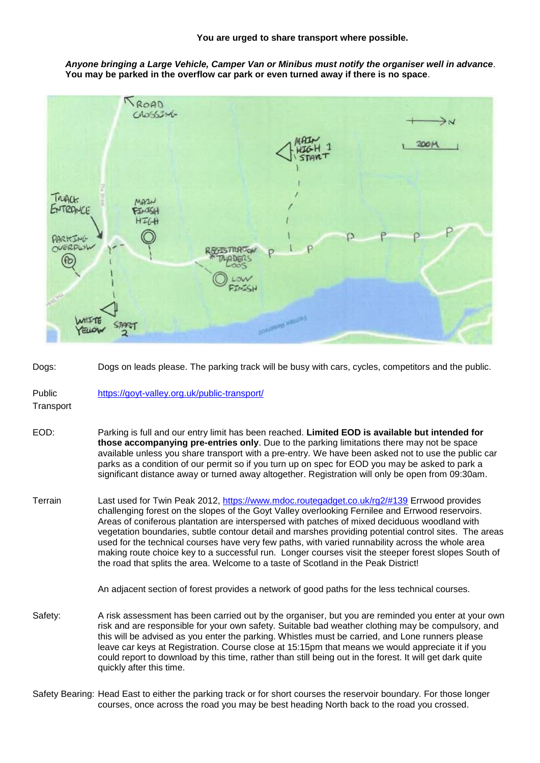*Anyone bringing a Large Vehicle, Camper Van or Minibus must notify the organiser well in advance*. **You may be parked in the overflow car park or even turned away if there is no space**.



Dogs: Dogs on leads please. The parking track will be busy with cars, cycles, competitors and the public.

Public <https://goyt-valley.org.uk/public-transport/>

**Transport** 

- EOD: Parking is full and our entry limit has been reached. **Limited EOD is available but intended for those accompanying pre-entries only**. Due to the parking limitations there may not be space available unless you share transport with a pre-entry. We have been asked not to use the public car parks as a condition of our permit so if you turn up on spec for EOD you may be asked to park a significant distance away or turned away altogether. Registration will only be open from 09:30am.
- Terrain Last used for Twin Peak 2012,<https://www.mdoc.routegadget.co.uk/rg2/#139> Errwood provides challenging forest on the slopes of the Goyt Valley overlooking Fernilee and Errwood reservoirs. Areas of coniferous plantation are interspersed with patches of mixed deciduous woodland with vegetation boundaries, subtle contour detail and marshes providing potential control sites. The areas used for the technical courses have very few paths, with varied runnability across the whole area making route choice key to a successful run. Longer courses visit the steeper forest slopes South of the road that splits the area. Welcome to a taste of Scotland in the Peak District!

An adjacent section of forest provides a network of good paths for the less technical courses.

- Safety: A risk assessment has been carried out by the organiser, but you are reminded you enter at your own risk and are responsible for your own safety. Suitable bad weather clothing may be compulsory, and this will be advised as you enter the parking. Whistles must be carried, and Lone runners please leave car keys at Registration. Course close at 15:15pm that means we would appreciate it if you could report to download by this time, rather than still being out in the forest. It will get dark quite quickly after this time.
- Safety Bearing: Head East to either the parking track or for short courses the reservoir boundary. For those longer courses, once across the road you may be best heading North back to the road you crossed.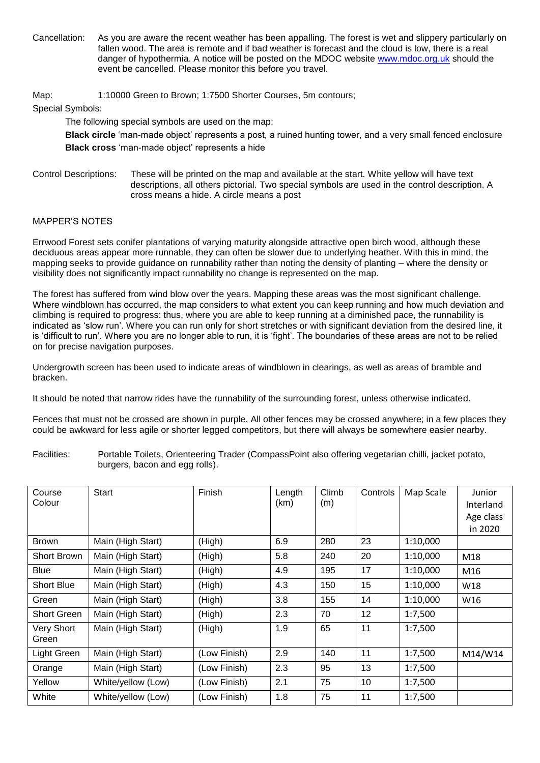Cancellation: As you are aware the recent weather has been appalling. The forest is wet and slippery particularly on fallen wood. The area is remote and if bad weather is forecast and the cloud is low, there is a real danger of hypothermia. A notice will be posted on the MDOC website [www.mdoc.org.uk](http://www.mdoc.org.uk/) should the event be cancelled. Please monitor this before you travel.

Map: 1:10000 Green to Brown; 1:7500 Shorter Courses, 5m contours;

#### Special Symbols:

The following special symbols are used on the map:

**Black circle** 'man-made object' represents a post, a ruined hunting tower, and a very small fenced enclosure **Black cross** 'man-made object' represents a hide

Control Descriptions: These will be printed on the map and available at the start. White yellow will have text descriptions, all others pictorial. Two special symbols are used in the control description. A cross means a hide. A circle means a post

#### MAPPER'S NOTES

Errwood Forest sets conifer plantations of varying maturity alongside attractive open birch wood, although these deciduous areas appear more runnable, they can often be slower due to underlying heather. With this in mind, the mapping seeks to provide guidance on runnability rather than noting the density of planting – where the density or visibility does not significantly impact runnability no change is represented on the map.

The forest has suffered from wind blow over the years. Mapping these areas was the most significant challenge. Where windblown has occurred, the map considers to what extent you can keep running and how much deviation and climbing is required to progress: thus, where you are able to keep running at a diminished pace, the runnability is indicated as 'slow run'. Where you can run only for short stretches or with significant deviation from the desired line, it is 'difficult to run'. Where you are no longer able to run, it is 'fight'. The boundaries of these areas are not to be relied on for precise navigation purposes.

Undergrowth screen has been used to indicate areas of windblown in clearings, as well as areas of bramble and bracken.

It should be noted that narrow rides have the runnability of the surrounding forest, unless otherwise indicated.

Fences that must not be crossed are shown in purple. All other fences may be crossed anywhere; in a few places they could be awkward for less agile or shorter legged competitors, but there will always be somewhere easier nearby.

Facilities: Portable Toilets, Orienteering Trader (CompassPoint also offering vegetarian chilli, jacket potato, burgers, bacon and egg rolls).

| Course             | <b>Start</b>       | Finish       | Length | Climb | Controls | Map Scale | Junior    |
|--------------------|--------------------|--------------|--------|-------|----------|-----------|-----------|
| Colour             |                    |              | (km)   | (m)   |          |           | Interland |
|                    |                    |              |        |       |          |           | Age class |
|                    |                    |              |        |       |          |           | in 2020   |
| <b>Brown</b>       | Main (High Start)  | (High)       | 6.9    | 280   | 23       | 1:10,000  |           |
| Short Brown        | Main (High Start)  | (High)       | 5.8    | 240   | 20       | 1:10,000  | M18       |
| Blue               | Main (High Start)  | (High)       | 4.9    | 195   | 17       | 1:10,000  | M16       |
| <b>Short Blue</b>  | Main (High Start)  | (High)       | 4.3    | 150   | 15       | 1:10,000  | W18       |
| Green              | Main (High Start)  | (High)       | 3.8    | 155   | 14       | 1:10,000  | W16       |
| <b>Short Green</b> | Main (High Start)  | (High)       | 2.3    | 70    | 12       | 1:7,500   |           |
| Very Short         | Main (High Start)  | (High)       | 1.9    | 65    | 11       | 1:7,500   |           |
| Green              |                    |              |        |       |          |           |           |
| Light Green        | Main (High Start)  | (Low Finish) | 2.9    | 140   | 11       | 1:7,500   | M14/W14   |
| Orange             | Main (High Start)  | (Low Finish) | 2.3    | 95    | 13       | 1:7,500   |           |
| Yellow             | White/yellow (Low) | (Low Finish) | 2.1    | 75    | 10       | 1:7,500   |           |
| White              | White/yellow (Low) | (Low Finish) | 1.8    | 75    | 11       | 1:7,500   |           |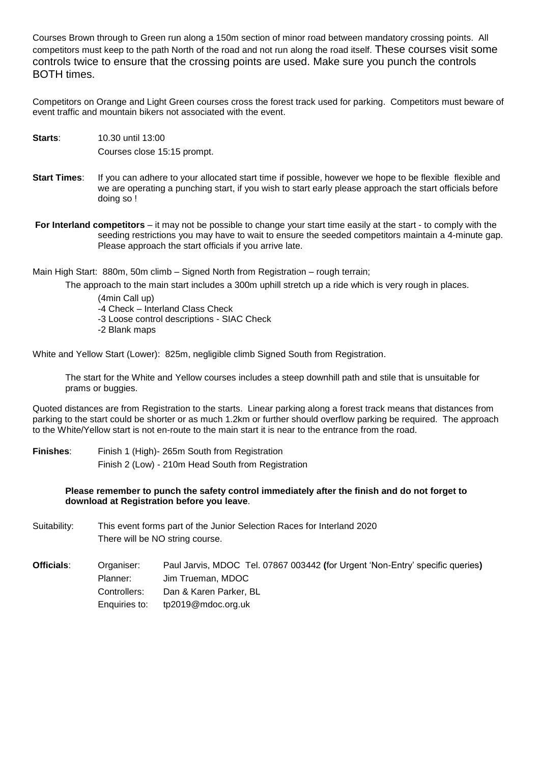Courses Brown through to Green run along a 150m section of minor road between mandatory crossing points. All competitors must keep to the path North of the road and not run along the road itself. These courses visit some controls twice to ensure that the crossing points are used. Make sure you punch the controls BOTH times.

Competitors on Orange and Light Green courses cross the forest track used for parking. Competitors must beware of event traffic and mountain bikers not associated with the event.

- **Starts**: 10.30 until 13:00 Courses close 15:15 prompt.
- **Start Times:** If you can adhere to your allocated start time if possible, however we hope to be flexible flexible and we are operating a punching start, if you wish to start early please approach the start officials before doing so !
- **For Interland competitors** it may not be possible to change your start time easily at the start to comply with the seeding restrictions you may have to wait to ensure the seeded competitors maintain a 4-minute gap. Please approach the start officials if you arrive late.

Main High Start: 880m, 50m climb – Signed North from Registration – rough terrain;

The approach to the main start includes a 300m uphill stretch up a ride which is very rough in places.

(4min Call up) -4 Check – Interland Class Check -3 Loose control descriptions - SIAC Check -2 Blank maps

White and Yellow Start (Lower): 825m, negligible climb Signed South from Registration.

The start for the White and Yellow courses includes a steep downhill path and stile that is unsuitable for prams or buggies.

Quoted distances are from Registration to the starts. Linear parking along a forest track means that distances from parking to the start could be shorter or as much 1.2km or further should overflow parking be required. The approach to the White/Yellow start is not en-route to the main start it is near to the entrance from the road.

**Finishes**: Finish 1 (High)- 265m South from Registration Finish 2 (Low) - 210m Head South from Registration

> **Please remember to punch the safety control immediately after the finish and do not forget to download at Registration before you leave**.

Suitability: This event forms part of the Junior Selection Races for Interland 2020 There will be NO string course.

**Officials**: Organiser: Paul Jarvis, MDOC Tel. 07867 003442 **(**for Urgent 'Non-Entry' specific queries**)** Planner: Jim Trueman, MDOC Controllers: Dan & Karen Parker, BL Enquiries to: tp2019@mdoc.org.uk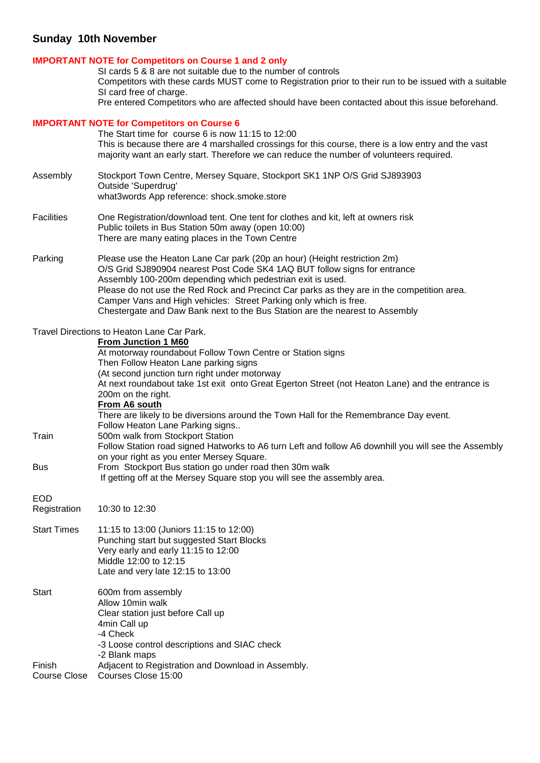# **Sunday 10th November**

## **IMPORTANT NOTE for Competitors on Course 1 and 2 only**

SI cards 5 & 8 are not suitable due to the number of controls Competitors with these cards MUST come to Registration prior to their run to be issued with a suitable SI card free of charge.

Pre entered Competitors who are affected should have been contacted about this issue beforehand.

### **IMPORTANT NOTE for Competitors on Course 6**

|                            | The Start time for course 6 is now 11:15 to 12:00<br>This is because there are 4 marshalled crossings for this course, there is a low entry and the vast<br>majority want an early start. Therefore we can reduce the number of volunteers required.                                                                                                                                                                                                                    |
|----------------------------|-------------------------------------------------------------------------------------------------------------------------------------------------------------------------------------------------------------------------------------------------------------------------------------------------------------------------------------------------------------------------------------------------------------------------------------------------------------------------|
| Assembly                   | Stockport Town Centre, Mersey Square, Stockport SK1 1NP O/S Grid SJ893903<br>Outside 'Superdrug'<br>what3words App reference: shock.smoke.store                                                                                                                                                                                                                                                                                                                         |
| <b>Facilities</b>          | One Registration/download tent. One tent for clothes and kit, left at owners risk<br>Public toilets in Bus Station 50m away (open 10:00)<br>There are many eating places in the Town Centre                                                                                                                                                                                                                                                                             |
| Parking                    | Please use the Heaton Lane Car park (20p an hour) (Height restriction 2m)<br>O/S Grid SJ890904 nearest Post Code SK4 1AQ BUT follow signs for entrance<br>Assembly 100-200m depending which pedestrian exit is used.<br>Please do not use the Red Rock and Precinct Car parks as they are in the competition area.<br>Camper Vans and High vehicles: Street Parking only which is free.<br>Chestergate and Daw Bank next to the Bus Station are the nearest to Assembly |
|                            | Travel Directions to Heaton Lane Car Park.<br><b>From Junction 1 M60</b><br>At motorway roundabout Follow Town Centre or Station signs<br>Then Follow Heaton Lane parking signs<br>(At second junction turn right under motorway<br>At next roundabout take 1st exit onto Great Egerton Street (not Heaton Lane) and the entrance is<br>200m on the right.<br>From A6 south                                                                                             |
| Train                      | There are likely to be diversions around the Town Hall for the Remembrance Day event.<br>Follow Heaton Lane Parking signs<br>500m walk from Stockport Station<br>Follow Station road signed Hatworks to A6 turn Left and follow A6 downhill you will see the Assembly                                                                                                                                                                                                   |
| <b>Bus</b>                 | on your right as you enter Mersey Square.<br>From Stockport Bus station go under road then 30m walk<br>If getting off at the Mersey Square stop you will see the assembly area.                                                                                                                                                                                                                                                                                         |
| <b>EOD</b><br>Registration | 10:30 to 12:30                                                                                                                                                                                                                                                                                                                                                                                                                                                          |
| <b>Start Times</b>         | 11:15 to 13:00 (Juniors 11:15 to 12:00)<br>Punching start but suggested Start Blocks<br>Very early and early 11:15 to 12:00<br>Middle 12:00 to 12:15<br>Late and very late 12:15 to 13:00                                                                                                                                                                                                                                                                               |
| <b>Start</b>               | 600m from assembly<br>Allow 10min walk<br>Clear station just before Call up<br>4min Call up<br>-4 Check<br>-3 Loose control descriptions and SIAC check<br>-2 Blank maps                                                                                                                                                                                                                                                                                                |
| Finish<br>Course Close     | Adjacent to Registration and Download in Assembly.<br>Courses Close 15:00                                                                                                                                                                                                                                                                                                                                                                                               |